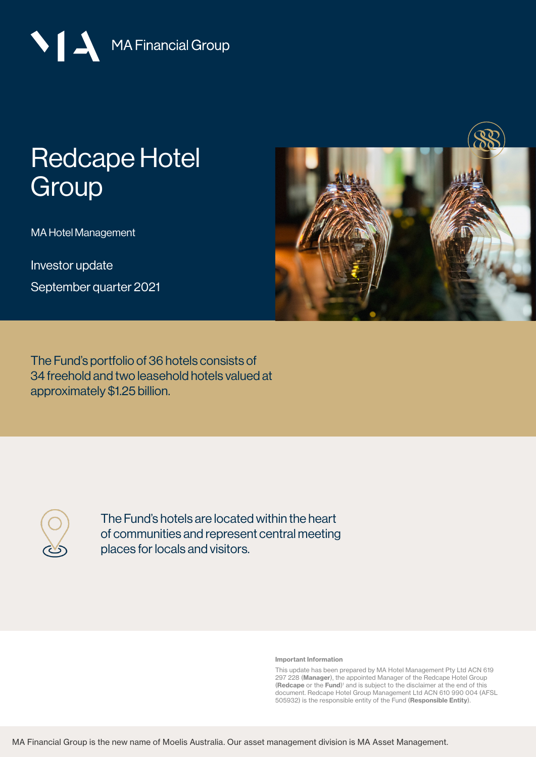MA Financial Group

# [Redcape Hotel](https://mafinancial.com/asset-management/retail-funds/redcape-hotel-group/)  **Group**

MA Hotel Management

Investor update September quarter 2021



The Fund's portfolio of 36 hotels consists of 34 freehold and two leasehold hotels valued at approximately \$1.25 billion.

The Fund's hotels are located within the heart of communities and represent central meeting places for locals and visitors.

Important Information

This update has been prepared by MA Hotel Management Pty Ltd ACN 619 297 228 (Manager), the appointed Manager of the Redcape Hotel Group (Redcape or the Fund)<sup>1</sup> and is subject to the disclaimer at the end of this document. Redcape Hotel Group Management Ltd ACN 610 990 004 (AFSL 505932) is the responsible entity of the Fund (Responsible Entity).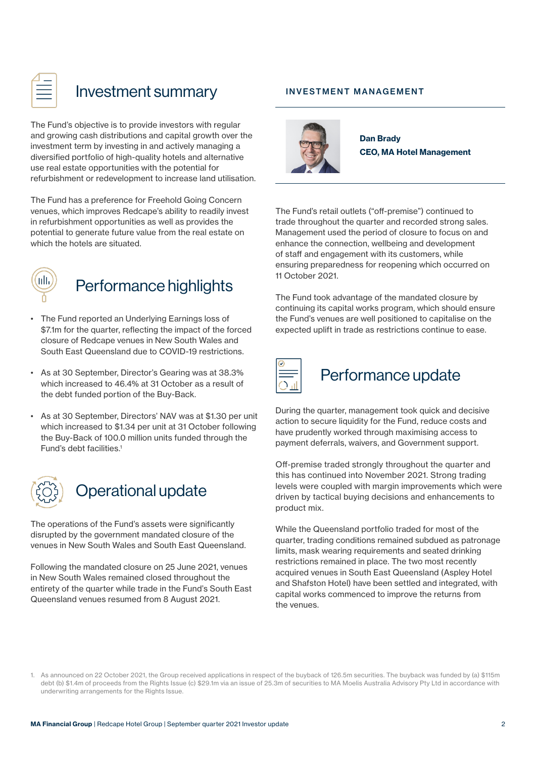| _<br>$\overline{\phantom{a}}$ |  |
|-------------------------------|--|
| ____<br>____                  |  |
| ____                          |  |

### Investment summary

The Fund's objective is to provide investors with regular and growing cash distributions and capital growth over the investment term by investing in and actively managing a diversified portfolio of high-quality hotels and alternative use real estate opportunities with the potential for refurbishment or redevelopment to increase land utilisation.

The Fund has a preference for Freehold Going Concern venues, which improves Redcape's ability to readily invest in refurbishment opportunities as well as provides the potential to generate future value from the real estate on which the hotels are situated.



### Performance highlights

- The Fund reported an Underlying Earnings loss of \$7.1m for the quarter, reflecting the impact of the forced closure of Redcape venues in New South Wales and South East Queensland due to COVID-19 restrictions.
- As at 30 September, Director's Gearing was at 38.3% which increased to 46.4% at 31 October as a result of the debt funded portion of the Buy-Back.
- As at 30 September, Directors' NAV was at \$1.30 per unit which increased to \$1.34 per unit at 31 October following the Buy-Back of 100.0 million units funded through the Fund's debt facilities.1



### Operational update

The operations of the Fund's assets were significantly disrupted by the government mandated closure of the venues in New South Wales and South East Queensland.

Following the mandated closure on 25 June 2021, venues in New South Wales remained closed throughout the entirety of the quarter while trade in the Fund's South East Queensland venues resumed from 8 August 2021.

#### INVESTMENT MANAGEMENT



Dan Brady CEO, MA Hotel Management

The Fund's retail outlets ("off-premise") continued to trade throughout the quarter and recorded strong sales. Management used the period of closure to focus on and enhance the connection, wellbeing and development of staff and engagement with its customers, while ensuring preparedness for reopening which occurred on 11 October 2021.

The Fund took advantage of the mandated closure by continuing its capital works program, which should ensure the Fund's venues are well positioned to capitalise on the expected uplift in trade as restrictions continue to ease.



### Performance update

During the quarter, management took quick and decisive action to secure liquidity for the Fund, reduce costs and have prudently worked through maximising access to payment deferrals, waivers, and Government support.

Off-premise traded strongly throughout the quarter and this has continued into November 2021. Strong trading levels were coupled with margin improvements which were driven by tactical buying decisions and enhancements to product mix.

While the Queensland portfolio traded for most of the quarter, trading conditions remained subdued as patronage limits, mask wearing requirements and seated drinking restrictions remained in place. The two most recently acquired venues in South East Queensland (Aspley Hotel and Shafston Hotel) have been settled and integrated, with capital works commenced to improve the returns from the venues.

<sup>1.</sup> As announced on 22 October 2021, the Group received applications in respect of the buyback of 126.5m securities. The buyback was funded by (a) \$115m debt (b) \$1.4m of proceeds from the Rights Issue (c) \$29.1m via an issue of 25.3m of securities to MA Moelis Australia Advisory Pty Ltd in accordance with underwriting arrangements for the Rights Issue.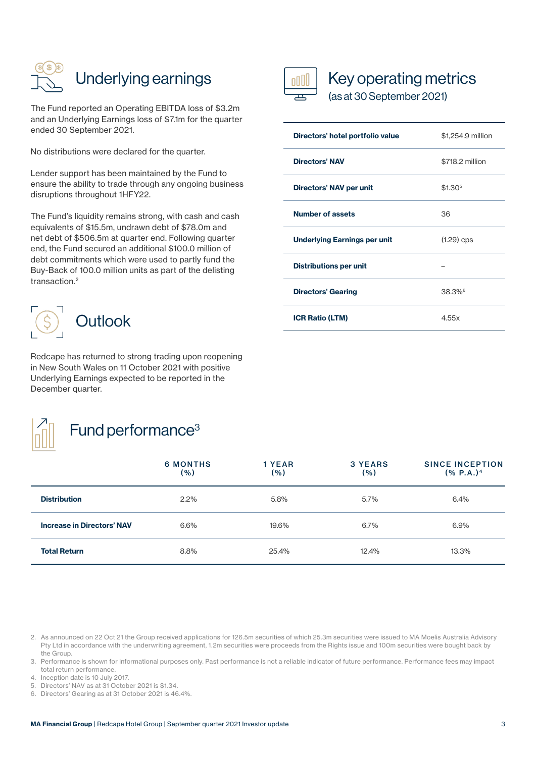

The Fund reported an Operating EBITDA loss of \$3.2m and an Underlying Earnings loss of \$7.1m for the quarter ended 30 September 2021.

No distributions were declared for the quarter.

Lender support has been maintained by the Fund to ensure the ability to trade through any ongoing business disruptions throughout 1HFY22.

The Fund's liquidity remains strong, with cash and cash equivalents of \$15.5m, undrawn debt of \$78.0m and net debt of \$506.5m at quarter end. Following quarter end, the Fund secured an additional \$100.0 million of debt commitments which were used to partly fund the Buy-Back of 100.0 million units as part of the delisting transaction.2



Redcape has returned to strong trading upon reopening in New South Wales on 11 October 2021 with positive Underlying Earnings expected to be reported in the December quarter.



## Fund performance<sup>3</sup>



### Key operating metrics

(as at 30 September 2021)

| Directors' hotel portfolio value | \$1,254.9 million   |  |
|----------------------------------|---------------------|--|
| <b>Directors' NAV</b>            | \$718.2 million     |  |
| Directors' NAV per unit          | \$1.30 <sup>5</sup> |  |
| <b>Number of assets</b>          | 36                  |  |
| Underlying Earnings per unit     | $(1.29)$ cps        |  |
| <b>Distributions per unit</b>    |                     |  |
| <b>Directors' Gearing</b>        | 38.3% <sup>6</sup>  |  |
| <b>ICR Ratio (LTM)</b>           | 4.55x               |  |

|                                   | <b>6 MONTHS</b><br>(% ) | 1 YEAR<br>( %) | 3 YEARS<br>( %) | <b>SINCE INCEPTION</b><br>(% P.A.) <sup>4</sup> |
|-----------------------------------|-------------------------|----------------|-----------------|-------------------------------------------------|
| <b>Distribution</b>               | 2.2%                    | 5.8%           | 5.7%            | 6.4%                                            |
| <b>Increase in Directors' NAV</b> | 6.6%                    | 19.6%          | 6.7%            | 6.9%                                            |
| <b>Total Return</b>               | 8.8%                    | 25.4%          | 12.4%           | 13.3%                                           |

<sup>2.</sup> As announced on 22 Oct 21 the Group received applications for 126.5m securities of which 25.3m securities were issued to MA Moelis Australia Advisory Pty Ltd in accordance with the underwriting agreement, 1.2m securities were proceeds from the Rights issue and 100m securities were bought back by the Group.

<sup>3.</sup> Performance is shown for informational purposes only. Past performance is not a reliable indicator of future performance. Performance fees may impact total return performance.

<sup>4.</sup> Inception date is 10 July 2017.

<sup>5.</sup> Directors' NAV as at 31 October 2021 is \$1.34.

<sup>6.</sup> Directors' Gearing as at 31 October 2021 is 46.4%.